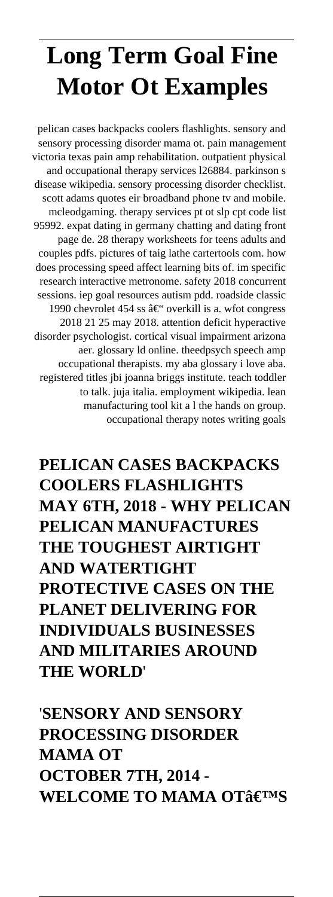# **Long Term Goal Fine Motor Ot Examples**

pelican cases backpacks coolers flashlights. sensory and sensory processing disorder mama ot. pain management victoria texas pain amp rehabilitation. outpatient physical and occupational therapy services l26884. parkinson s disease wikipedia. sensory processing disorder checklist. scott adams quotes eir broadband phone tv and mobile. mcleodgaming. therapy services pt ot slp cpt code list 95992. expat dating in germany chatting and dating front page de. 28 therapy worksheets for teens adults and couples pdfs. pictures of taig lathe cartertools com. how does processing speed affect learning bits of. im specific research interactive metronome. safety 2018 concurrent sessions. iep goal resources autism pdd. roadside classic 1990 chevrolet 454 ss  $\hat{a} \in \omega$  overkill is a. wfot congress 2018 21 25 may 2018. attention deficit hyperactive disorder psychologist. cortical visual impairment arizona aer. glossary ld online. theedpsych speech amp occupational therapists. my aba glossary i love aba. registered titles jbi joanna briggs institute. teach toddler to talk. juja italia. employment wikipedia. lean manufacturing tool kit a l the hands on group. occupational therapy notes writing goals

**PELICAN CASES BACKPACKS COOLERS FLASHLIGHTS MAY 6TH, 2018 - WHY PELICAN PELICAN MANUFACTURES THE TOUGHEST AIRTIGHT AND WATERTIGHT PROTECTIVE CASES ON THE PLANET DELIVERING FOR INDIVIDUALS BUSINESSES AND MILITARIES AROUND THE WORLD**'

'**SENSORY AND SENSORY PROCESSING DISORDER MAMA OT OCTOBER 7TH, 2014 - WELCOME TO MAMA OT'S**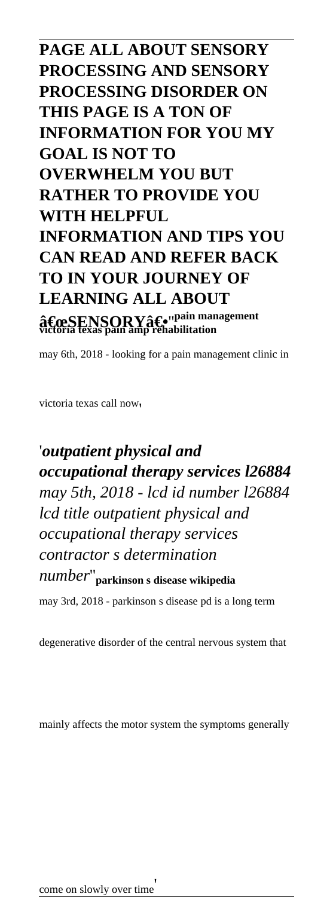### **PAGE ALL ABOUT SENSORY PROCESSING AND SENSORY PROCESSING DISORDER ON THIS PAGE IS A TON OF INFORMATION FOR YOU MY GOAL IS NOT TO OVERWHELM YOU BUT RATHER TO PROVIDE YOU WITH HELPFUL INFORMATION AND TIPS YOU CAN READ AND REFER BACK TO IN YOUR JOURNEY OF LEARNING ALL ABOUT**  $\mathbf{\hat{a}}\mathbf{\in} \mathbf{c}\mathbf{s}\mathbf{ENN} \mathbf{ORY} \mathbf{\hat{a}}\mathbf{\in} \mathbf{v}^\mathbf{p}$ ain management<br>victoria texas pain amp rehabilitation

may 6th, 2018 - looking for a pain management clinic in

victoria texas call now'

### '*outpatient physical and occupational therapy services l26884 may 5th, 2018 - lcd id number l26884 lcd title outpatient physical and occupational therapy services contractor s determination number*''**parkinson s disease wikipedia**

may 3rd, 2018 - parkinson s disease pd is a long term

degenerative disorder of the central nervous system that

mainly affects the motor system the symptoms generally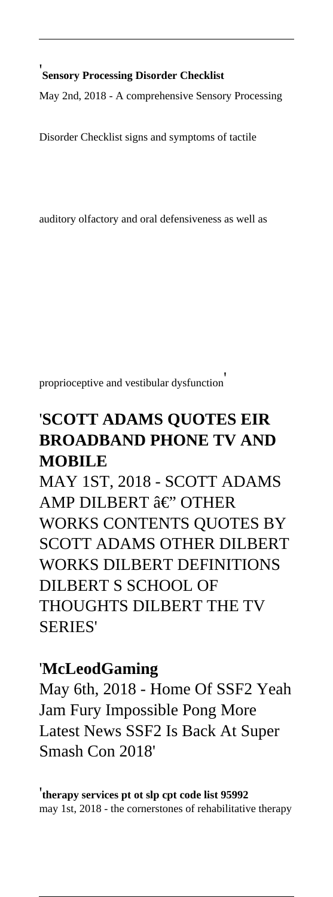'**Sensory Processing Disorder Checklist** May 2nd, 2018 - A comprehensive Sensory Processing

Disorder Checklist signs and symptoms of tactile

auditory olfactory and oral defensiveness as well as

proprioceptive and vestibular dysfunction'

### '**SCOTT ADAMS QUOTES EIR BROADBAND PHONE TV AND MOBILE**

MAY 1ST, 2018 - SCOTT ADAMS AMP DILBERT â€" OTHER WORKS CONTENTS QUOTES BY SCOTT ADAMS OTHER DILBERT WORKS DILBERT DEFINITIONS DILBERT S SCHOOL OF THOUGHTS DILBERT THE TV SERIES'

#### '**McLeodGaming**

May 6th, 2018 - Home Of SSF2 Yeah Jam Fury Impossible Pong More Latest News SSF2 Is Back At Super Smash Con 2018'

'**therapy services pt ot slp cpt code list 95992** may 1st, 2018 - the cornerstones of rehabilitative therapy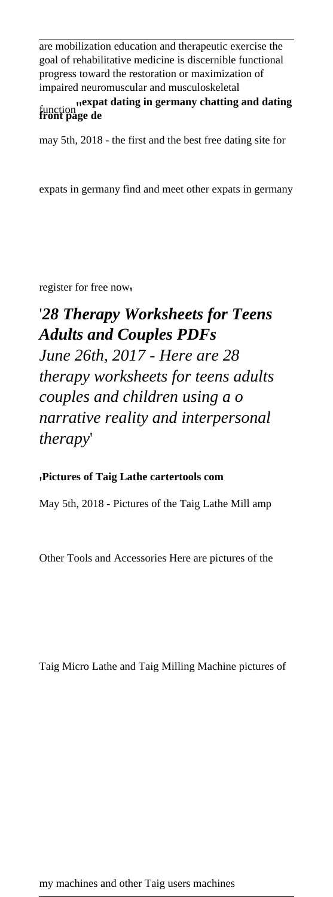are mobilization education and therapeutic exercise the goal of rehabilitative medicine is discernible functional progress toward the restoration or maximization of impaired neuromuscular and musculoskeletal

function''**expat dating in germany chatting and dating front page de**

may 5th, 2018 - the first and the best free dating site for

expats in germany find and meet other expats in germany

register for free now'

'*28 Therapy Worksheets for Teens Adults and Couples PDFs June 26th, 2017 - Here are 28 therapy worksheets for teens adults couples and children using a o narrative reality and interpersonal therapy*'

#### '**Pictures of Taig Lathe cartertools com**

May 5th, 2018 - Pictures of the Taig Lathe Mill amp

Other Tools and Accessories Here are pictures of the

Taig Micro Lathe and Taig Milling Machine pictures of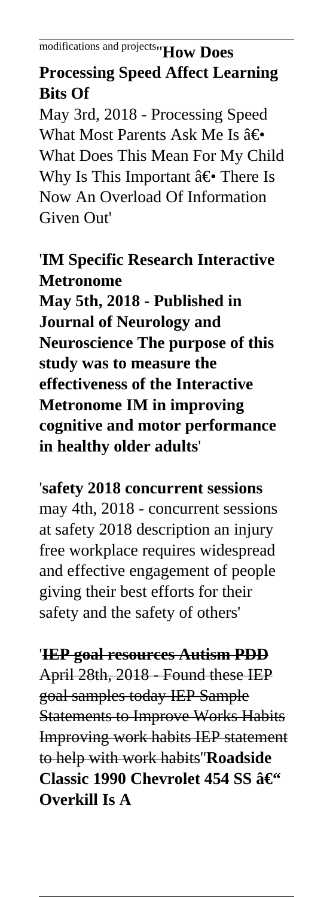## **Processing Speed Affect Learning Bits Of**

May 3rd, 2018 - Processing Speed What Most Parents Ask Me Is  $\hat{a} \in \hat{C}$ What Does This Mean For My Child Why Is This Important  $\hat{a} \in \text{There}$  Is Now An Overload Of Information Given Out'

### '**IM Specific Research Interactive Metronome**

**May 5th, 2018 - Published in Journal of Neurology and Neuroscience The purpose of this study was to measure the effectiveness of the Interactive Metronome IM in improving cognitive and motor performance in healthy older adults**'

#### '**safety 2018 concurrent sessions**

may 4th, 2018 - concurrent sessions at safety 2018 description an injury free workplace requires widespread and effective engagement of people giving their best efforts for their safety and the safety of others'

### '**IEP goal resources Autism PDD**

April 28th, 2018 - Found these IEP goal samples today IEP Sample Statements to Improve Works Habits Improving work habits IEP statement to help with work habits''**Roadside Classic 1990 Chevrolet 454 SS – Overkill Is A**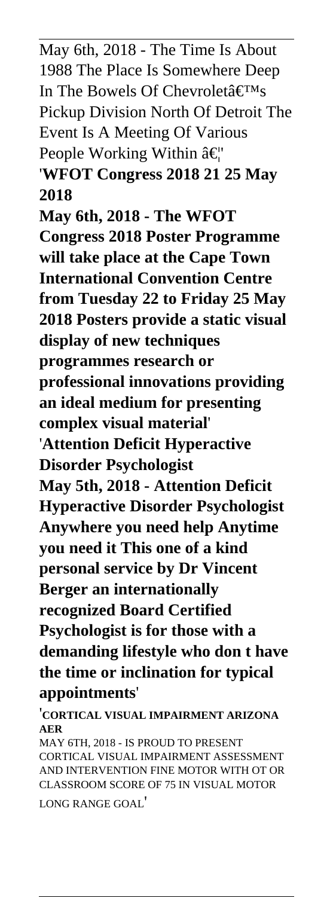May 6th, 2018 - The Time Is About 1988 The Place Is Somewhere Deep In The Bowels Of Chevroleta $\epsilon_{\text{TMs}}$ Pickup Division North Of Detroit The Event Is A Meeting Of Various People Working Within  $\hat{a} \in \mathcal{C}$ '**WFOT Congress 2018 21 25 May 2018 May 6th, 2018 - The WFOT Congress 2018 Poster Programme will take place at the Cape Town International Convention Centre from Tuesday 22 to Friday 25 May 2018 Posters provide a static visual display of new techniques programmes research or professional innovations providing an ideal medium for presenting complex visual material**' '**Attention Deficit Hyperactive Disorder Psychologist May 5th, 2018 - Attention Deficit Hyperactive Disorder Psychologist Anywhere you need help Anytime you need it This one of a kind personal service by Dr Vincent Berger an internationally recognized Board Certified Psychologist is for those with a demanding lifestyle who don t have the time or inclination for typical appointments**'

'**CORTICAL VISUAL IMPAIRMENT ARIZONA AER**

MAY 6TH, 2018 - IS PROUD TO PRESENT CORTICAL VISUAL IMPAIRMENT ASSESSMENT AND INTERVENTION FINE MOTOR WITH OT OR CLASSROOM SCORE OF 75 IN VISUAL MOTOR LONG RANGE GOAL'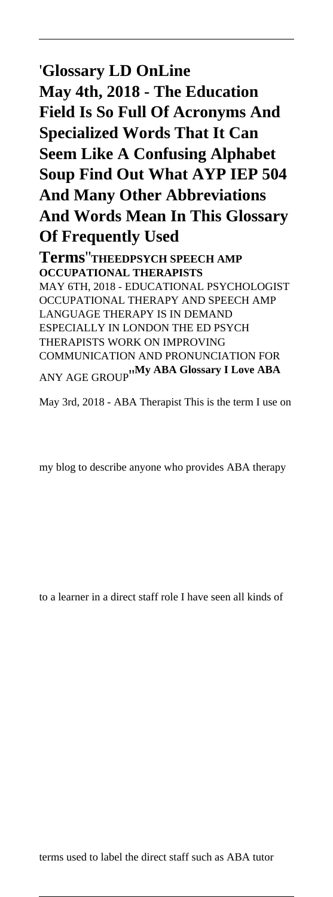### '**Glossary LD OnLine May 4th, 2018 - The Education Field Is So Full Of Acronyms And Specialized Words That It Can Seem Like A Confusing Alphabet Soup Find Out What AYP IEP 504 And Many Other Abbreviations And Words Mean In This Glossary Of Frequently Used**

**Terms**''**THEEDPSYCH SPEECH AMP OCCUPATIONAL THERAPISTS** MAY 6TH, 2018 - EDUCATIONAL PSYCHOLOGIST OCCUPATIONAL THERAPY AND SPEECH AMP LANGUAGE THERAPY IS IN DEMAND ESPECIALLY IN LONDON THE ED PSYCH THERAPISTS WORK ON IMPROVING COMMUNICATION AND PRONUNCIATION FOR ANY AGE GROUP''**My ABA Glossary I Love ABA**

May 3rd, 2018 - ABA Therapist This is the term I use on

my blog to describe anyone who provides ABA therapy

to a learner in a direct staff role I have seen all kinds of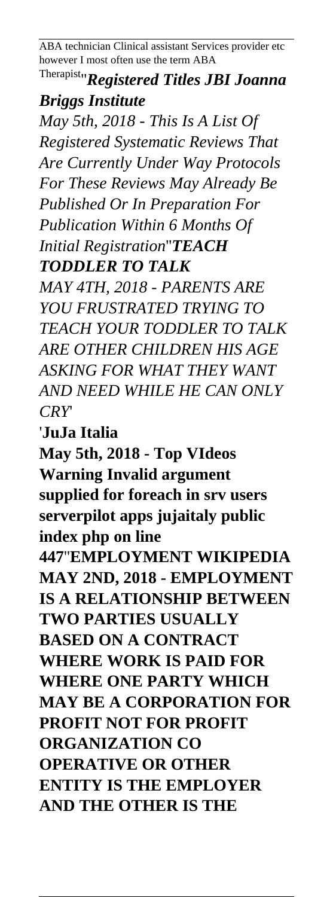ABA technician Clinical assistant Services provider etc however I most often use the term ABA

### Therapist''*Registered Titles JBI Joanna Briggs Institute*

*May 5th, 2018 - This Is A List Of Registered Systematic Reviews That Are Currently Under Way Protocols For These Reviews May Already Be Published Or In Preparation For Publication Within 6 Months Of Initial Registration*''*TEACH TODDLER TO TALK*

*MAY 4TH, 2018 - PARENTS ARE YOU FRUSTRATED TRYING TO TEACH YOUR TODDLER TO TALK ARE OTHER CHILDREN HIS AGE ASKING FOR WHAT THEY WANT AND NEED WHILE HE CAN ONLY CRY*'

'**JuJa Italia**

**May 5th, 2018 - Top VIdeos Warning Invalid argument supplied for foreach in srv users serverpilot apps jujaitaly public index php on line 447**''**EMPLOYMENT WIKIPEDIA MAY 2ND, 2018 - EMPLOYMENT IS A RELATIONSHIP BETWEEN TWO PARTIES USUALLY BASED ON A CONTRACT WHERE WORK IS PAID FOR WHERE ONE PARTY WHICH MAY BE A CORPORATION FOR PROFIT NOT FOR PROFIT ORGANIZATION CO OPERATIVE OR OTHER ENTITY IS THE EMPLOYER AND THE OTHER IS THE**